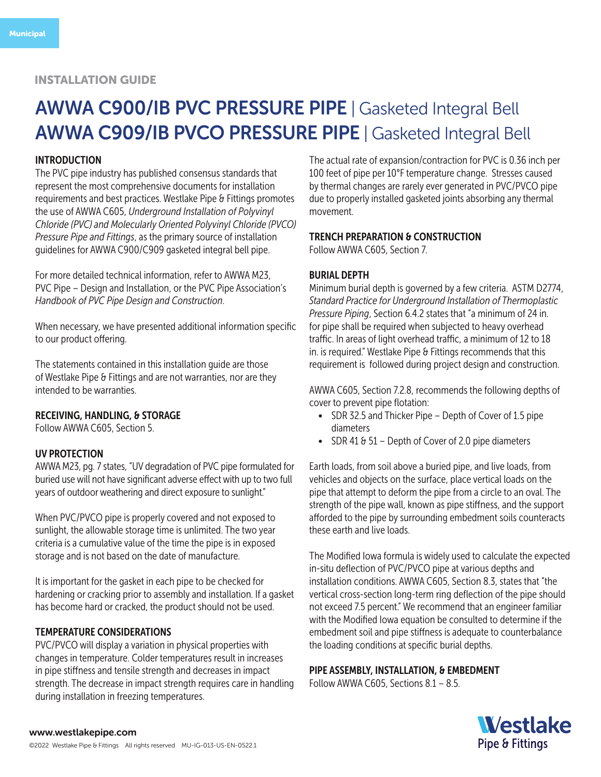# AWWA C900/IB PVC PRESSURE PIPE | Gasketed Integral Bell AWWA C909/IB PVCO PRESSURE PIPE | Gasketed Integral Bell

### INTRODUCTION

The PVC pipe industry has published consensus standards that represent the most comprehensive documents for installation requirements and best practices. Westlake Pipe & Fittings promotes the use of AWWA C605, *Underground Installation of Polyvinyl Chloride (PVC) and Molecularly Oriented Polyvinyl Chloride (PVCO) Pressure Pipe and Fittings*, as the primary source of installation guidelines for AWWA C900/C909 gasketed integral bell pipe.

For more detailed technical information, refer to AWWA M23, PVC Pipe – Design and Installation, or the PVC Pipe Association's *Handbook of PVC Pipe Design and Construction*.

When necessary, we have presented additional information specific to our product offering.

The statements contained in this installation guide are those of Westlake Pipe & Fittings and are not warranties, nor are they intended to be warranties.

# RECEIVING, HANDLING, & STORAGE

Follow AWWA C605, Section 5.

### UV PROTECTION

AWWA M23, pg. 7 states, "UV degradation of PVC pipe formulated for buried use will not have significant adverse effect with up to two full years of outdoor weathering and direct exposure to sunlight."

When PVC/PVCO pipe is properly covered and not exposed to sunlight, the allowable storage time is unlimited. The two year criteria is a cumulative value of the time the pipe is in exposed storage and is not based on the date of manufacture.

It is important for the gasket in each pipe to be checked for hardening or cracking prior to assembly and installation. If a gasket has become hard or cracked, the product should not be used.

# TEMPERATURE CONSIDERATIONS

PVC/PVCO will display a variation in physical properties with changes in temperature. Colder temperatures result in increases in pipe stiffness and tensile strength and decreases in impact strength. The decrease in impact strength requires care in handling during installation in freezing temperatures.

The actual rate of expansion/contraction for PVC is 0.36 inch per 100 feet of pipe per 10°F temperature change. Stresses caused by thermal changes are rarely ever generated in PVC/PVCO pipe due to properly installed gasketed joints absorbing any thermal movement.

### TRENCH PREPARATION & CONSTRUCTION

Follow AWWA C605, Section 7.

### BURIAL DEPTH

Minimum burial depth is governed by a few criteria. ASTM D2774, *Standard Practice for Underground Installation of Thermoplastic Pressure Piping*, Section 6.4.2 states that "a minimum of 24 in. for pipe shall be required when subjected to heavy overhead traffic. In areas of light overhead traffic, a minimum of 12 to 18 in. is required." Westlake Pipe & Fittings recommends that this requirement is followed during project design and construction.

AWWA C605, Section 7.2.8, recommends the following depths of cover to prevent pipe flotation:

- SDR 32.5 and Thicker Pipe Depth of Cover of 1.5 pipe diameters
- SDR 41 & 51 Depth of Cover of 2.0 pipe diameters

Earth loads, from soil above a buried pipe, and live loads, from vehicles and objects on the surface, place vertical loads on the pipe that attempt to deform the pipe from a circle to an oval. The strength of the pipe wall, known as pipe stiffness, and the support afforded to the pipe by surrounding embedment soils counteracts these earth and live loads.

The Modified Iowa formula is widely used to calculate the expected in-situ deflection of PVC/PVCO pipe at various depths and installation conditions. AWWA C605, Section 8.3, states that "the vertical cross-section long-term ring deflection of the pipe should not exceed 7.5 percent." We recommend that an engineer familiar with the Modified Iowa equation be consulted to determine if the embedment soil and pipe stiffness is adequate to counterbalance the loading conditions at specific burial depths.

### PIPE ASSEMBLY, INSTALLATION, & EMBEDMENT

Follow AWWA C605, Sections 8.1 – 8.5.

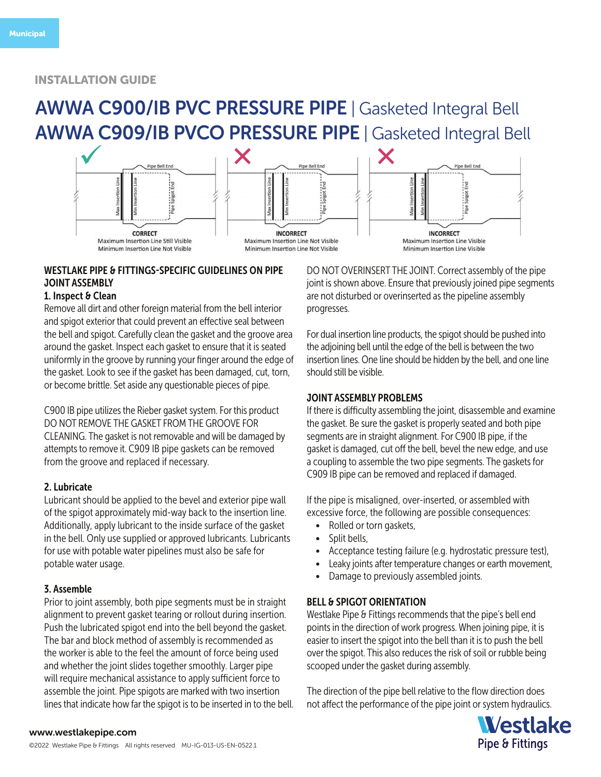# AWWA C900/IB PVC PRESSURE PIPE | Gasketed Integral Bell AWWA C909/IB PVCO PRESSURE PIPE | Gasketed Integral Bell



# WESTLAKE PIPE & FITTINGS-SPECIFIC GUIDELINES ON PIPE JOINT ASSEMBLY

# 1. Inspect & Clean

Remove all dirt and other foreign material from the bell interior and spigot exterior that could prevent an effective seal between the bell and spigot. Carefully clean the gasket and the groove area around the gasket. Inspect each gasket to ensure that it is seated uniformly in the groove by running your finger around the edge of the gasket. Look to see if the gasket has been damaged, cut, torn, or become brittle. Set aside any questionable pieces of pipe.

C900 IB pipe utilizes the Rieber gasket system. For this product DO NOT REMOVE THE GASKET FROM THE GROOVE FOR CLEANING. The gasket is not removable and will be damaged by attempts to remove it. C909 IB pipe gaskets can be removed from the groove and replaced if necessary.

## 2. Lubricate

Lubricant should be applied to the bevel and exterior pipe wall of the spigot approximately mid-way back to the insertion line. Additionally, apply lubricant to the inside surface of the gasket in the bell. Only use supplied or approved lubricants. Lubricants for use with potable water pipelines must also be safe for potable water usage.

## 3. Assemble

Prior to joint assembly, both pipe segments must be in straight alignment to prevent gasket tearing or rollout during insertion. Push the lubricated spigot end into the bell beyond the gasket. The bar and block method of assembly is recommended as the worker is able to the feel the amount of force being used and whether the joint slides together smoothly. Larger pipe will require mechanical assistance to apply sufficient force to assemble the joint. Pipe spigots are marked with two insertion lines that indicate how far the spigot is to be inserted in to the bell. DO NOT OVERINSERT THE JOINT. Correct assembly of the pipe joint is shown above. Ensure that previously joined pipe segments are not disturbed or overinserted as the pipeline assembly progresses.

For dual insertion line products, the spigot should be pushed into the adjoining bell until the edge of the bell is between the two insertion lines. One line should be hidden by the bell, and one line should still be visible.

## JOINT ASSEMBLY PROBLEMS

If there is difficulty assembling the joint, disassemble and examine the gasket. Be sure the gasket is properly seated and both pipe segments are in straight alignment. For C900 IB pipe, if the gasket is damaged, cut off the bell, bevel the new edge, and use a coupling to assemble the two pipe segments. The gaskets for C909 IB pipe can be removed and replaced if damaged.

If the pipe is misaligned, over-inserted, or assembled with excessive force, the following are possible consequences:

- Rolled or torn gaskets,
- Split bells,
- Acceptance testing failure (e.g. hydrostatic pressure test),
- Leaky joints after temperature changes or earth movement,
- Damage to previously assembled joints.

## BELL & SPIGOT ORIENTATION

Westlake Pipe & Fittings recommends that the pipe's bell end points in the direction of work progress. When joining pipe, it is easier to insert the spigot into the bell than it is to push the bell over the spigot. This also reduces the risk of soil or rubble being scooped under the gasket during assembly.

The direction of the pipe bell relative to the flow direction does not affect the performance of the pipe joint or system hydraulics.



### www.westlakepipe.com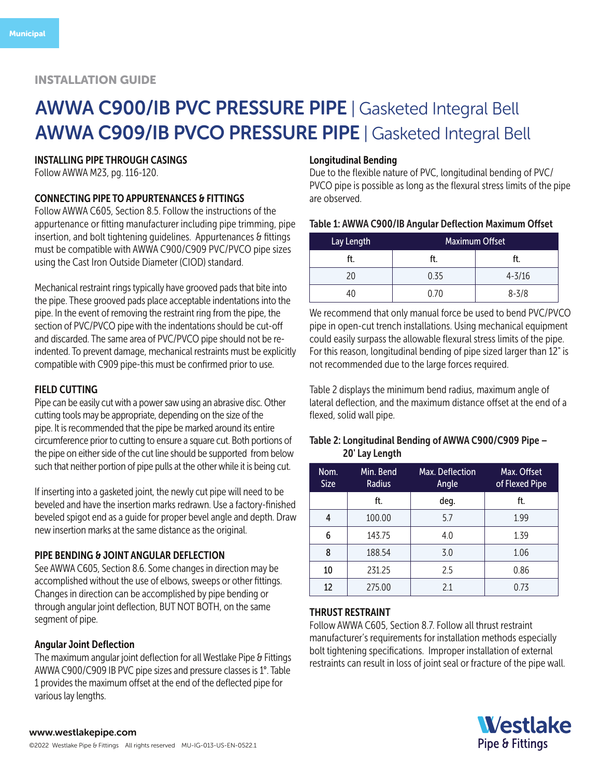# AWWA C900/IB PVC PRESSURE PIPE | Gasketed Integral Bell AWWA C909/IB PVCO PRESSURE PIPE | Gasketed Integral Bell

## INSTALLING PIPE THROUGH CASINGS

Follow AWWA M23, pg. 116-120.

## CONNECTING PIPE TO APPURTENANCES & FITTINGS

Follow AWWA C605, Section 8.5. Follow the instructions of the appurtenance or fitting manufacturer including pipe trimming, pipe insertion, and bolt tightening guidelines. Appurtenances & fittings must be compatible with AWWA C900/C909 PVC/PVCO pipe sizes using the Cast Iron Outside Diameter (CIOD) standard.

Mechanical restraint rings typically have grooved pads that bite into the pipe. These grooved pads place acceptable indentations into the pipe. In the event of removing the restraint ring from the pipe, the section of PVC/PVCO pipe with the indentations should be cut-off and discarded. The same area of PVC/PVCO pipe should not be reindented. To prevent damage, mechanical restraints must be explicitly compatible with C909 pipe-this must be confirmed prior to use.

### FIELD CUTTING

Pipe can be easily cut with a power saw using an abrasive disc. Other cutting tools may be appropriate, depending on the size of the pipe. It is recommended that the pipe be marked around its entire circumference prior to cutting to ensure a square cut. Both portions of the pipe on either side of the cut line should be supported from below such that neither portion of pipe pulls at the other while it is being cut.

If inserting into a gasketed joint, the newly cut pipe will need to be beveled and have the insertion marks redrawn. Use a factory-finished beveled spigot end as a guide for proper bevel angle and depth. Draw new insertion marks at the same distance as the original.

### PIPE BENDING & JOINT ANGULAR DEFLECTION

See AWWA C605, Section 8.6. Some changes in direction may be accomplished without the use of elbows, sweeps or other fittings. Changes in direction can be accomplished by pipe bending or through angular joint deflection, BUT NOT BOTH, on the same segment of pipe.

### Angular Joint Deflection

The maximum angular joint deflection for all Westlake Pipe & Fittings AWWA C900/C909 IB PVC pipe sizes and pressure classes is 1°. Table 1 provides the maximum offset at the end of the deflected pipe for various lay lengths.

### Longitudinal Bending

Due to the flexible nature of PVC, longitudinal bending of PVC/ PVCO pipe is possible as long as the flexural stress limits of the pipe are observed.

### Table 1: AWWA C900/IB Angular Deflection Maximum Offset

| Lay Length | <b>Maximum Offset</b> |            |  |
|------------|-----------------------|------------|--|
| ft.        | π                     | ft.        |  |
| 20         | 0.35                  | $4 - 3/16$ |  |
| 10         | በ 7በ                  | $8 - 3/8$  |  |

We recommend that only manual force be used to bend PVC/PVCO pipe in open-cut trench installations. Using mechanical equipment could easily surpass the allowable flexural stress limits of the pipe. For this reason, longitudinal bending of pipe sized larger than 12" is not recommended due to the large forces required.

Table 2 displays the minimum bend radius, maximum angle of lateral deflection, and the maximum distance offset at the end of a flexed, solid wall pipe.

## Table 2: Longitudinal Bending of AWWA C900/C909 Pipe – 20' Lay Length

| Nom.<br><b>Size</b> | Min. Bend<br><b>Radius</b> | Max. Deflection<br>Angle | Max. Offset<br>of Flexed Pipe |
|---------------------|----------------------------|--------------------------|-------------------------------|
|                     | ft.                        | deg.                     | ft.                           |
| 4                   | 100.00                     | 5.7                      | 1.99                          |
| 6                   | 143.75                     | 4.0                      | 1.39                          |
| 8                   | 188.54                     | 3.0                      | 1.06                          |
| 10                  | 231.25                     | 2.5                      | 0.86                          |
| 12                  | 275.00                     | 21                       | 0.73                          |

## THRUST RESTRAINT

Follow AWWA C605, Section 8.7. Follow all thrust restraint manufacturer's requirements for installation methods especially bolt tightening specifications. Improper installation of external restraints can result in loss of joint seal or fracture of the pipe wall.